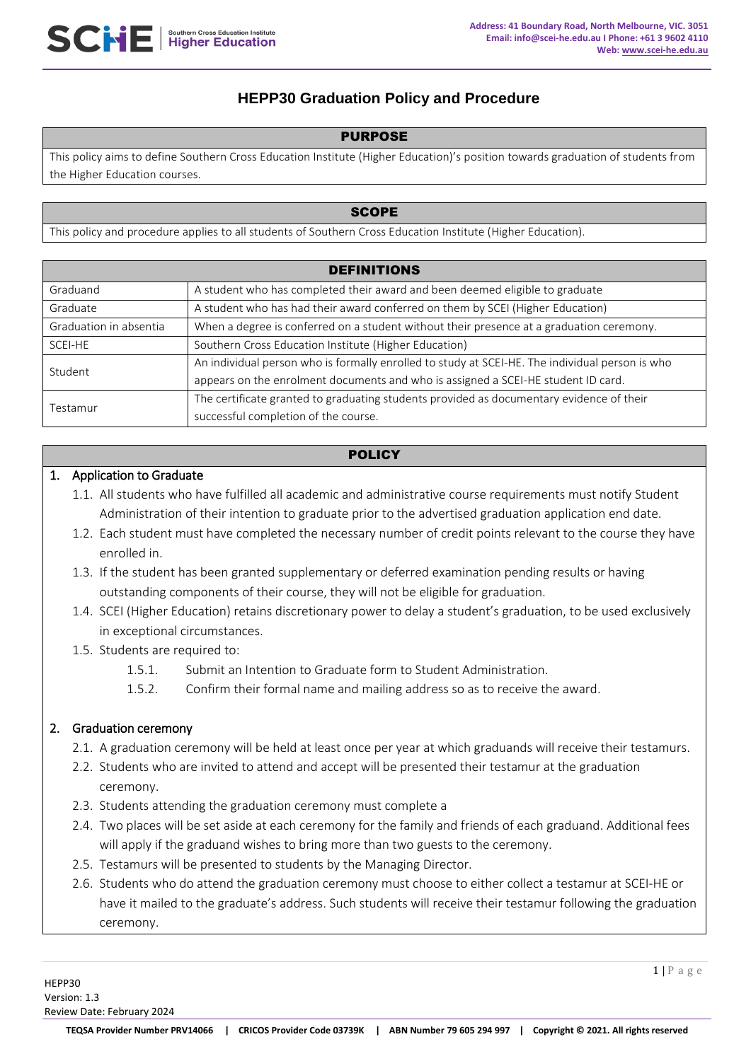# **HEPP30 Graduation Policy and Procedure**

#### PURPOSE

This policy aims to define Southern Cross Education Institute (Higher Education)'s position towards graduation of students from the Higher Education courses.

#### **SCOPE**

This policy and procedure applies to all students of Southern Cross Education Institute (Higher Education).

| <b>DEFINITIONS</b>     |                                                                                                 |  |
|------------------------|-------------------------------------------------------------------------------------------------|--|
| Graduand               | A student who has completed their award and been deemed eligible to graduate                    |  |
| Graduate               | A student who has had their award conferred on them by SCEI (Higher Education)                  |  |
| Graduation in absentia | When a degree is conferred on a student without their presence at a graduation ceremony.        |  |
| SCEI-HE                | Southern Cross Education Institute (Higher Education)                                           |  |
| Student                | An individual person who is formally enrolled to study at SCEI-HE. The individual person is who |  |
|                        | appears on the enrolment documents and who is assigned a SCEI-HE student ID card.               |  |
| Testamur               | The certificate granted to graduating students provided as documentary evidence of their        |  |
|                        | successful completion of the course.                                                            |  |

# **POLICY**

### 1. Application to Graduate

- 1.1. All students who have fulfilled all academic and administrative course requirements must notify Student Administration of their intention to graduate prior to the advertised graduation application end date.
- 1.2. Each student must have completed the necessary number of credit points relevant to the course they have enrolled in.
- 1.3. If the student has been granted supplementary or deferred examination pending results or having outstanding components of their course, they will not be eligible for graduation.
- 1.4. SCEI (Higher Education) retains discretionary power to delay a student's graduation, to be used exclusively in exceptional circumstances.
- 1.5. Students are required to:
	- 1.5.1. Submit an Intention to Graduate form to Student Administration.
	- 1.5.2. Confirm their formal name and mailing address so as to receive the award.

# 2. Graduation ceremony

- 2.1. A graduation ceremony will be held at least once per year at which graduands will receive their testamurs.
- 2.2. Students who are invited to attend and accept will be presented their testamur at the graduation ceremony.
- 2.3. Students attending the graduation ceremony must complete a
- 2.4. Two places will be set aside at each ceremony for the family and friends of each graduand. Additional fees will apply if the graduand wishes to bring more than two guests to the ceremony.
- 2.5. Testamurs will be presented to students by the Managing Director.
- 2.6. Students who do attend the graduation ceremony must choose to either collect a testamur at SCEI-HE or have it mailed to the graduate's address. Such students will receive their testamur following the graduation ceremony.